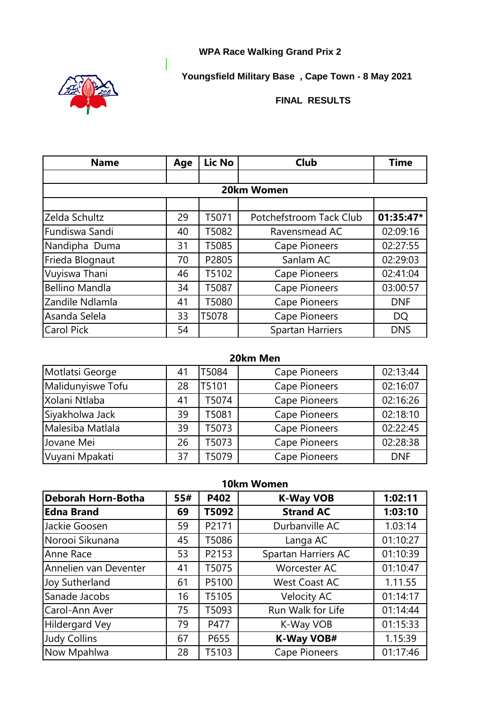## **WPA Race Walking Grand Prix 2**

**Youngsfield Military Base , Cape Town - 8 May 2021**



**FINAL RESULTS**

| <b>Name</b>           | Age | Lic No | <b>Club</b>             | <b>Time</b> |
|-----------------------|-----|--------|-------------------------|-------------|
|                       |     |        |                         |             |
|                       |     |        | 20km Women              |             |
|                       |     |        |                         |             |
| Zelda Schultz         | 29  | T5071  | Potchefstroom Tack Club | 01:35:47*   |
| Fundiswa Sandi        | 40  | T5082  | Ravensmead AC           | 02:09:16    |
| Nandipha Duma         | 31  | T5085  | Cape Pioneers           | 02:27:55    |
| Frieda Blognaut       | 70  | P2805  | Sanlam AC               | 02:29:03    |
| Vuyiswa Thani         | 46  | T5102  | Cape Pioneers           | 02:41:04    |
| <b>Bellino Mandla</b> | 34  | T5087  | <b>Cape Pioneers</b>    | 03:00:57    |
| Zandile Ndlamla       | 41  | T5080  | <b>Cape Pioneers</b>    | <b>DNF</b>  |
| Asanda Selela         | 33  | T5078  | <b>Cape Pioneers</b>    | <b>DQ</b>   |
| Carol Pick            | 54  |        | <b>Spartan Harriers</b> | <b>DNS</b>  |

|                   |    |       | 20km Men             |            |
|-------------------|----|-------|----------------------|------------|
| Motlatsi George   | 41 | T5084 | Cape Pioneers        | 02:13:44   |
| Malidunyiswe Tofu | 28 | T5101 | <b>Cape Pioneers</b> | 02:16:07   |
| Xolani Ntlaba     | 41 | T5074 | Cape Pioneers        | 02:16:26   |
| Siyakholwa Jack   | 39 | T5081 | Cape Pioneers        | 02:18:10   |
| Malesiba Matlala  | 39 | T5073 | <b>Cape Pioneers</b> | 02:22:45   |
| Jovane Mei        | 26 | T5073 | <b>Cape Pioneers</b> | 02:28:38   |
| Vuyani Mpakati    | 37 | T5079 | <b>Cape Pioneers</b> | <b>DNF</b> |

|                           | 10km Women |       |                      |          |
|---------------------------|------------|-------|----------------------|----------|
| <b>Deborah Horn-Botha</b> | 55#        | P402  | <b>K-Way VOB</b>     | 1:02:11  |
| <b>Edna Brand</b>         | 69         | T5092 | <b>Strand AC</b>     | 1:03:10  |
| Jackie Goosen             | 59         | P2171 | Durbanville AC       | 1.03:14  |
| Norooi Sikunana           | 45         | T5086 | Langa AC             | 01:10:27 |
| Anne Race                 | 53         | P2153 | Spartan Harriers AC  | 01:10:39 |
| Annelien van Deventer     | 41         | T5075 | <b>Worcester AC</b>  | 01:10:47 |
| Joy Sutherland            | 61         | P5100 | <b>West Coast AC</b> | 1.11.55  |
| Sanade Jacobs             | 16         | T5105 | <b>Velocity AC</b>   | 01:14:17 |
| Carol-Ann Aver            | 75         | T5093 | Run Walk for Life    | 01:14:44 |
| <b>Hildergard Vey</b>     | 79         | P477  | K-Way VOB            | 01:15:33 |
| <b>Judy Collins</b>       | 67         | P655  | <b>K-Way VOB#</b>    | 1.15:39  |
| Now Mpahlwa               | 28         | T5103 | <b>Cape Pioneers</b> | 01:17:46 |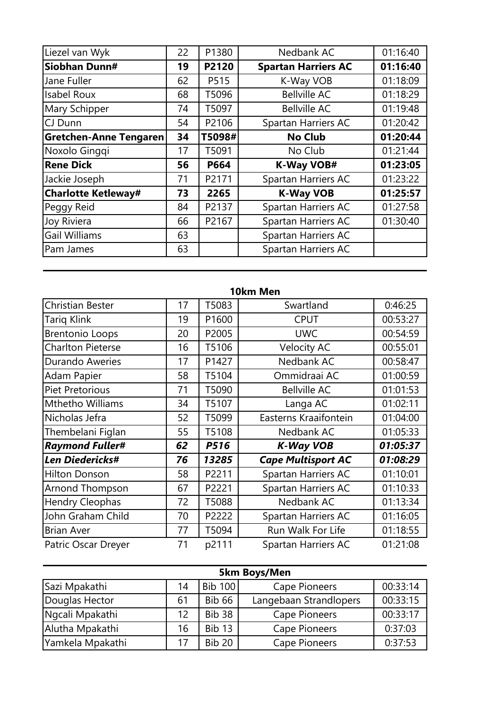| Liezel van Wyk                | 22 | P1380  | Nedbank AC                 | 01:16:40 |
|-------------------------------|----|--------|----------------------------|----------|
| Siobhan Dunn#                 | 19 | P2120  | <b>Spartan Harriers AC</b> | 01:16:40 |
| Jane Fuller                   | 62 | P515   | K-Way VOB                  | 01:18:09 |
| <b>Isabel Roux</b>            | 68 | T5096  | <b>Bellville AC</b>        | 01:18:29 |
| Mary Schipper                 | 74 | T5097  | <b>Bellville AC</b>        | 01:19:48 |
| CJ Dunn                       | 54 | P2106  | Spartan Harriers AC        | 01:20:42 |
| <b>Gretchen-Anne Tengaren</b> | 34 | T5098# | <b>No Club</b>             | 01:20:44 |
| Noxolo Ginggi                 | 17 | T5091  | No Club                    | 01:21:44 |
| <b>Rene Dick</b>              | 56 | P664   | <b>K-Way VOB#</b>          | 01:23:05 |
| Jackie Joseph                 | 71 | P2171  | Spartan Harriers AC        | 01:23:22 |
| <b>Charlotte Ketleway#</b>    | 73 | 2265   | <b>K-Way VOB</b>           | 01:25:57 |
| Peggy Reid                    | 84 | P2137  | Spartan Harriers AC        | 01:27:58 |
| Joy Riviera                   | 66 | P2167  | Spartan Harriers AC        | 01:30:40 |
| <b>Gail Williams</b>          | 63 |        | Spartan Harriers AC        |          |
| Pam James                     | 63 |        | Spartan Harriers AC        |          |

|                          |    |       | 10km Men                  |          |
|--------------------------|----|-------|---------------------------|----------|
| <b>Christian Bester</b>  | 17 | T5083 | Swartland                 | 0:46:25  |
| <b>Tariq Klink</b>       | 19 | P1600 | <b>CPUT</b>               | 00:53:27 |
| <b>Brentonio Loops</b>   | 20 | P2005 | <b>UWC</b>                | 00:54:59 |
| <b>Charlton Pieterse</b> | 16 | T5106 | <b>Velocity AC</b>        | 00:55:01 |
| <b>Durando Aweries</b>   | 17 | P1427 | Nedbank AC                | 00:58:47 |
| Adam Papier              | 58 | T5104 | Ommidraai AC              | 01:00:59 |
| <b>Piet Pretorious</b>   | 71 | T5090 | <b>Bellville AC</b>       | 01:01:53 |
| Mthetho Williams         | 34 | T5107 | Langa AC                  | 01:02:11 |
| Nicholas Jefra           | 52 | T5099 | Easterns Kraaifontein     | 01:04:00 |
| Thembelani Figlan        | 55 | T5108 | Nedbank AC                | 01:05:33 |
| <b>Raymond Fuller#</b>   | 62 | P516  | <b>K-Way VOB</b>          | 01:05:37 |
| Len Diedericks#          | 76 | 13285 | <b>Cape Multisport AC</b> | 01:08:29 |
| <b>Hilton Donson</b>     | 58 | P2211 | Spartan Harriers AC       | 01:10:01 |
| Arnond Thompson          | 67 | P2221 | Spartan Harriers AC       | 01:10:33 |
| <b>Hendry Cleophas</b>   | 72 | T5088 | Nedbank AC                | 01:13:34 |
| John Graham Child        | 70 | P2222 | Spartan Harriers AC       | 01:16:05 |
| <b>Brian Aver</b>        | 77 | T5094 | Run Walk For Life         | 01:18:55 |
| Patric Oscar Dreyer      | 71 | p2111 | Spartan Harriers AC       | 01:21:08 |

| 5km Boys/Men     |    |               |                        |          |
|------------------|----|---------------|------------------------|----------|
| Sazi Mpakathi    | 14 | Bib 100       | <b>Cape Pioneers</b>   | 00:33:14 |
| Douglas Hector   | 61 | <b>Bib 66</b> | Langebaan Strandlopers | 00:33:15 |
| Ngcali Mpakathi  | 12 | <b>Bib 38</b> | <b>Cape Pioneers</b>   | 00:33:17 |
| Alutha Mpakathi  | 16 | <b>Bib 13</b> | Cape Pioneers          | 0:37:03  |
| Yamkela Mpakathi | 17 | <b>Bib 20</b> | <b>Cape Pioneers</b>   | 0:37:53  |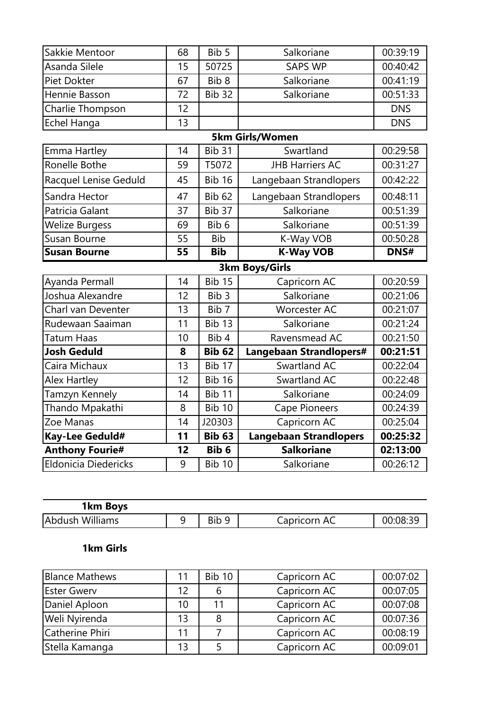| Sakkie Mentoor         | 68              | Bib 5            | Salkoriane                    | 00:39:19    |
|------------------------|-----------------|------------------|-------------------------------|-------------|
| Asanda Silele          | 15              | 50725            | <b>SAPS WP</b>                | 00:40:42    |
| Piet Dokter            | 67              | Bib <sub>8</sub> | Salkoriane                    | 00:41:19    |
| Hennie Basson          | 72              | <b>Bib 32</b>    | Salkoriane                    | 00:51:33    |
| Charlie Thompson       | 12              |                  |                               | <b>DNS</b>  |
| Echel Hanga            | 13              |                  |                               | <b>DNS</b>  |
|                        |                 |                  | <b>5km Girls/Women</b>        |             |
| Emma Hartley           | 14              | Bib 31           | Swartland                     | 00:29:58    |
| Ronelle Bothe          | 59              | T5072            | <b>JHB Harriers AC</b>        | 00:31:27    |
| Racquel Lenise Geduld  | 45              | <b>Bib 16</b>    | Langebaan Strandlopers        | 00:42:22    |
| Sandra Hector          | 47              | <b>Bib 62</b>    | Langebaan Strandlopers        | 00:48:11    |
| Patricia Galant        | 37              | Bib 37           | Salkoriane                    | 00:51:39    |
| <b>Welize Burgess</b>  | 69              | Bib 6            | Salkoriane                    | 00:51:39    |
| Susan Bourne           | 55              | <b>Bib</b>       | K-Way VOB                     | 00:50:28    |
| <b>Susan Bourne</b>    | $\overline{55}$ | <b>Bib</b>       | <b>K-Way VOB</b>              | <b>DNS#</b> |
|                        |                 |                  | <b>3km Boys/Girls</b>         |             |
| Ayanda Permall         | 14              | <b>Bib 15</b>    | Capricorn AC                  | 00:20:59    |
| Joshua Alexandre       | 12              | Bib <sub>3</sub> | Salkoriane                    | 00:21:06    |
| Charl van Deventer     | 13              |                  |                               |             |
|                        |                 | Bib 7            | <b>Worcester AC</b>           | 00:21:07    |
| Rudewaan Saaiman       | 11              | Bib 13           | Salkoriane                    | 00:21:24    |
| Tatum Haas             | 10              | Bib 4            | Ravensmead AC                 | 00:21:50    |
| <b>Josh Geduld</b>     | 8               | <b>Bib 62</b>    | Langebaan Strandlopers#       | 00:21:51    |
| Caira Michaux          | 13              | Bib 17           | Swartland AC                  | 00:22:04    |
| <b>Alex Hartley</b>    | 12              | <b>Bib 16</b>    | Swartland AC                  | 00:22:48    |
| Tamzyn Kennely         | 14              | <b>Bib 11</b>    | Salkoriane                    | 00:24:09    |
| Thando Mpakathi        | 8               | <b>Bib 10</b>    | <b>Cape Pioneers</b>          | 00:24:39    |
| Zoe Manas              | 14              | J20303           | Capricorn AC                  | 00:25:04    |
| Kay-Lee Geduld#        | 11              | <b>Bib 63</b>    | <b>Langebaan Strandlopers</b> | 00:25:32    |
| <b>Anthony Fourie#</b> | 12              | Bib 6            | <b>Salkoriane</b>             | 02:13:00    |
| Eldonicia Diedericks   | 9               | <b>Bib 10</b>    | Salkoriane                    | 00:26:12    |

| 1km Boys        |     |              |          |
|-----------------|-----|--------------|----------|
| Abdush Williams | Bib | Capricorn AC | 00:08:39 |

## **1km Girls**

| <b>Blance Mathews</b> | 11 | <b>Bib 10</b> | Capricorn AC | 00:07:02 |
|-----------------------|----|---------------|--------------|----------|
| <b>Ester Gwerv</b>    | 12 | 6             | Capricorn AC | 00:07:05 |
| Daniel Aploon         | 10 | 11            | Capricorn AC | 00:07:08 |
| Weli Nyirenda         | 13 | 8             | Capricorn AC | 00:07:36 |
| Catherine Phiri       | 11 |               | Capricorn AC | 00:08:19 |
| Stella Kamanga        | 13 |               | Capricorn AC | 00:09:01 |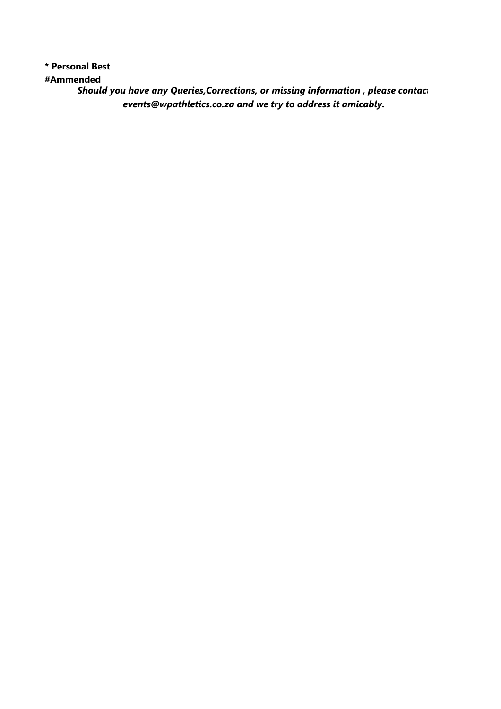**\* Personal Best**

**#Ammended** 

*Should you have any Queries, Corrections, or missing information, please contac events@wpathletics.co.za and we try to address it amicably.*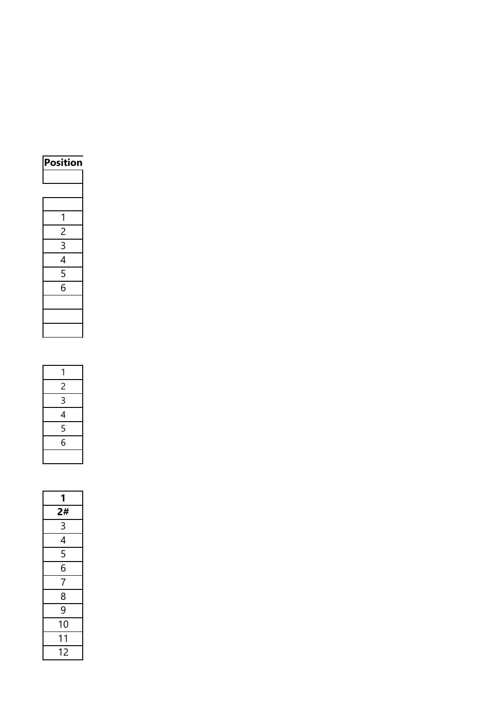| Position      |
|---------------|
|               |
|               |
|               |
| 1             |
| 2             |
| 3             |
| 4             |
| $\frac{5}{6}$ |
|               |
|               |
|               |
|               |

| 1 |
|---|
| 2 |
| 3 |
| 4 |
| 5 |
| 6 |
|   |

| 1                           |
|-----------------------------|
| 2#                          |
| $\overline{3}$              |
| $\frac{4}{5}$ $\frac{5}{6}$ |
|                             |
|                             |
| $\frac{1}{7}$               |
| $\frac{8}{9}$               |
|                             |
| 10                          |
| 1<br>1                      |
| 12                          |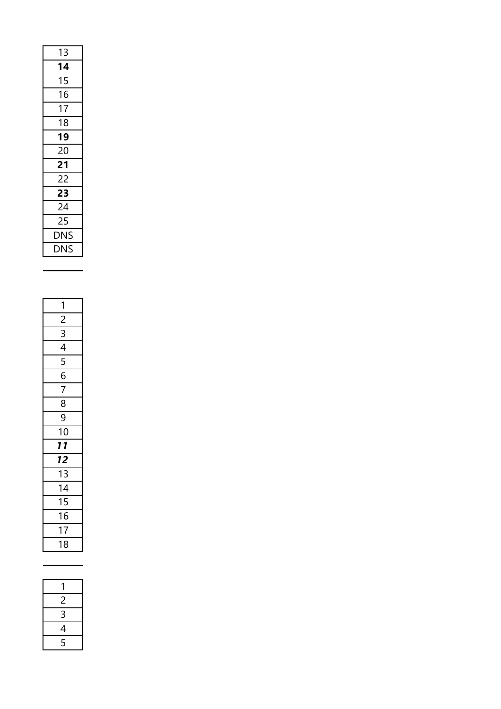| 14<br>15<br>16<br>17<br>18<br>19<br>20<br>21<br>22<br>23<br>24<br>25<br><b>DNS</b> | 13         |
|------------------------------------------------------------------------------------|------------|
|                                                                                    |            |
|                                                                                    |            |
|                                                                                    |            |
|                                                                                    |            |
|                                                                                    |            |
|                                                                                    |            |
|                                                                                    |            |
|                                                                                    |            |
|                                                                                    |            |
|                                                                                    |            |
|                                                                                    |            |
|                                                                                    |            |
|                                                                                    |            |
|                                                                                    | <b>DNS</b> |

| 1                                                                                                                 |
|-------------------------------------------------------------------------------------------------------------------|
| $\frac{2}{3}$ $\frac{3}{4}$ $\frac{4}{5}$ $\frac{6}{6}$ $\frac{7}{7}$ $\frac{8}{8}$ $\frac{9}{9}$ $\frac{10}{10}$ |
|                                                                                                                   |
|                                                                                                                   |
|                                                                                                                   |
|                                                                                                                   |
|                                                                                                                   |
|                                                                                                                   |
|                                                                                                                   |
|                                                                                                                   |
| <b>11</b>                                                                                                         |
| $\overline{12}$                                                                                                   |
| $\overline{13}$                                                                                                   |
| $\frac{1}{14}$                                                                                                    |
| $\frac{15}{16}$                                                                                                   |
|                                                                                                                   |
| $\overline{17}$                                                                                                   |
| 18                                                                                                                |

| 1 |
|---|
| P |
| 3 |
| 4 |
| 5 |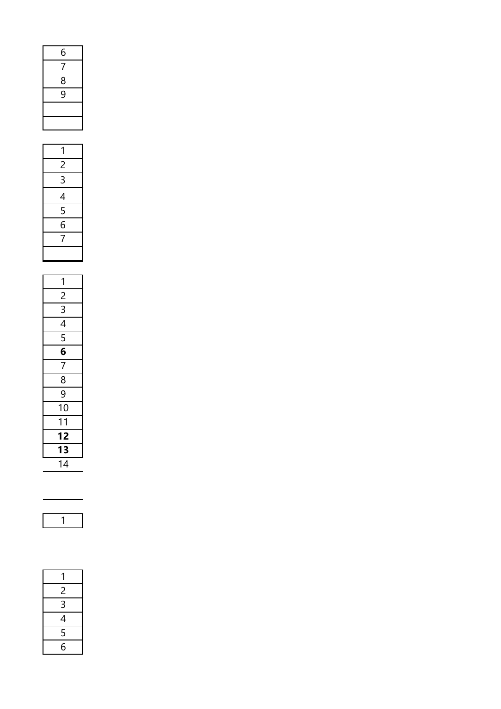| 6             |  |
|---------------|--|
| 7             |  |
| $\frac{8}{9}$ |  |
|               |  |
|               |  |
|               |  |
|               |  |

| $\frac{6}{7}$ $\frac{8}{9}$               |
|-------------------------------------------|
|                                           |
|                                           |
|                                           |
|                                           |
|                                           |
|                                           |
|                                           |
|                                           |
| $\frac{1}{2}$ $\frac{2}{3}$ $\frac{4}{4}$ |
| $\frac{1}{5}$ $\frac{1}{5}$ $\frac{1}{7}$ |
|                                           |
|                                           |
|                                           |
|                                           |
| $\mathbf{1}$                              |
| $\frac{2}{3}$ $\frac{3}{4}$ $\frac{4}{5}$ |
|                                           |
|                                           |
|                                           |

| 1              |
|----------------|
|                |
| $\frac{2}{3}$  |
|                |
| $\overline{5}$ |
| $\frac{6}{7}$  |
|                |
| 8              |
| $\frac{8}{9}$  |
| 10             |
| 1<br>1         |
| 12             |
| 13             |
| 14             |



| 14                          |  |
|-----------------------------|--|
|                             |  |
|                             |  |
| 1                           |  |
|                             |  |
|                             |  |
|                             |  |
| 1                           |  |
| $\frac{2}{1}$               |  |
|                             |  |
| $\frac{3}{4}$ $\frac{4}{5}$ |  |
|                             |  |
|                             |  |